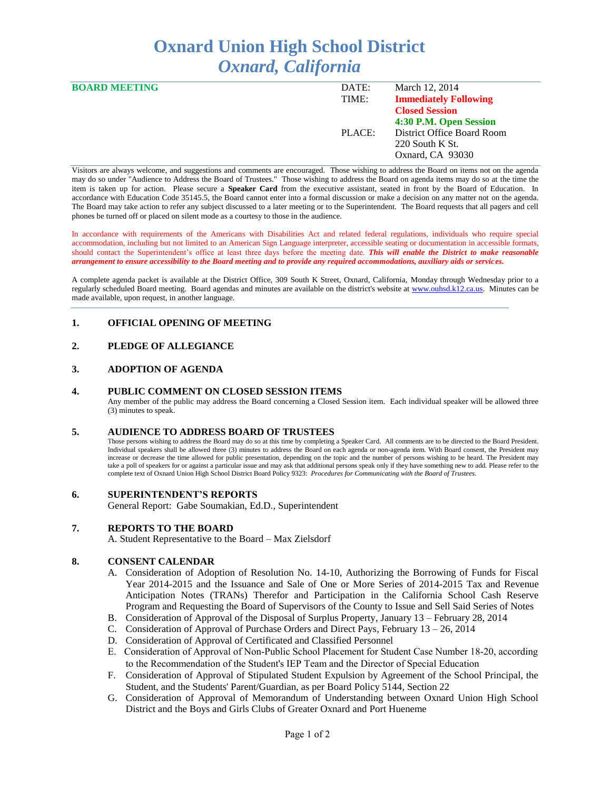# **Oxnard Union High School District** *Oxnard, California*

| <b>BOARD MEETING</b> | DATE:  | March 12, 2014               |
|----------------------|--------|------------------------------|
|                      | TIME:  | <b>Immediately Following</b> |
|                      |        | <b>Closed Session</b>        |
|                      |        | 4:30 P.M. Open Session       |
|                      | PLACE: | District Office Board Room   |
|                      |        | $220$ South K St.            |
|                      |        | Oxnard, CA 93030             |
|                      |        |                              |

Visitors are always welcome, and suggestions and comments are encouraged. Those wishing to address the Board on items not on the agenda may do so under "Audience to Address the Board of Trustees." Those wishing to address the Board on agenda items may do so at the time the item is taken up for action. Please secure a **Speaker Card** from the executive assistant, seated in front by the Board of Education. In accordance with Education Code 35145.5, the Board cannot enter into a formal discussion or make a decision on any matter not on the agenda. The Board may take action to refer any subject discussed to a later meeting or to the Superintendent. The Board requests that all pagers and cell phones be turned off or placed on silent mode as a courtesy to those in the audience.

In accordance with requirements of the Americans with Disabilities Act and related federal regulations, individuals who require special accommodation, including but not limited to an American Sign Language interpreter, accessible seating or documentation in accessible formats, should contact the Superintendent's office at least three days before the meeting date. *This will enable the District to make reasonable arrangement to ensure accessibility to the Board meeting and to provide any required accommodations, auxiliary aids or services.* 

A complete agenda packet is available at the District Office, 309 South K Street, Oxnard, California, Monday through Wednesday prior to a regularly scheduled Board meeting. Board agendas and minutes are available on the district's website at [www.ouhsd.k12.ca.us.](http://www.ouhsd.k12.ca.us/)Minutes can be made available, upon request, in another language.

# **1. OFFICIAL OPENING OF MEETING**

# **2. PLEDGE OF ALLEGIANCE**

# **3. ADOPTION OF AGENDA**

#### **4. PUBLIC COMMENT ON CLOSED SESSION ITEMS**

Any member of the public may address the Board concerning a Closed Session item. Each individual speaker will be allowed three (3) minutes to speak.

### **5. AUDIENCE TO ADDRESS BOARD OF TRUSTEES**

Those persons wishing to address the Board may do so at this time by completing a Speaker Card. All comments are to be directed to the Board President. Individual speakers shall be allowed three (3) minutes to address the Board on each agenda or non-agenda item. With Board consent, the President may increase or decrease the time allowed for public presentation, depending on the topic and the number of persons wishing to be heard. The President may take a poll of speakers for or against a particular issue and may ask that additional persons speak only if they have something new to add. Please refer to the complete text of Oxnard Union High School District Board Policy 9323: *Procedures for Communicating with the Board of Trustees.*

#### **6. SUPERINTENDENT'S REPORTS**

General Report: Gabe Soumakian, Ed.D., Superintendent

# **7. REPORTS TO THE BOARD**

A. Student Representative to the Board – Max Zielsdorf

#### **8. CONSENT CALENDAR**

- A. Consideration of Adoption of Resolution No. 14-10, Authorizing the Borrowing of Funds for Fiscal Year 2014-2015 and the Issuance and Sale of One or More Series of 2014-2015 Tax and Revenue Anticipation Notes (TRANs) Therefor and Participation in the California School Cash Reserve Program and Requesting the Board of Supervisors of the County to Issue and Sell Said Series of Notes
- B. Consideration of Approval of the Disposal of Surplus Property, January 13 February 28, 2014
- C. Consideration of Approval of Purchase Orders and Direct Pays, February 13 26, 2014
- D. Consideration of Approval of Certificated and Classified Personnel
- E. Consideration of Approval of Non-Public School Placement for Student Case Number 18-20, according to the Recommendation of the Student's IEP Team and the Director of Special Education
- F. Consideration of Approval of Stipulated Student Expulsion by Agreement of the School Principal, the Student, and the Students' Parent/Guardian, as per Board Policy 5144, Section 22
- G. Consideration of Approval of Memorandum of Understanding between Oxnard Union High School District and the Boys and Girls Clubs of Greater Oxnard and Port Hueneme